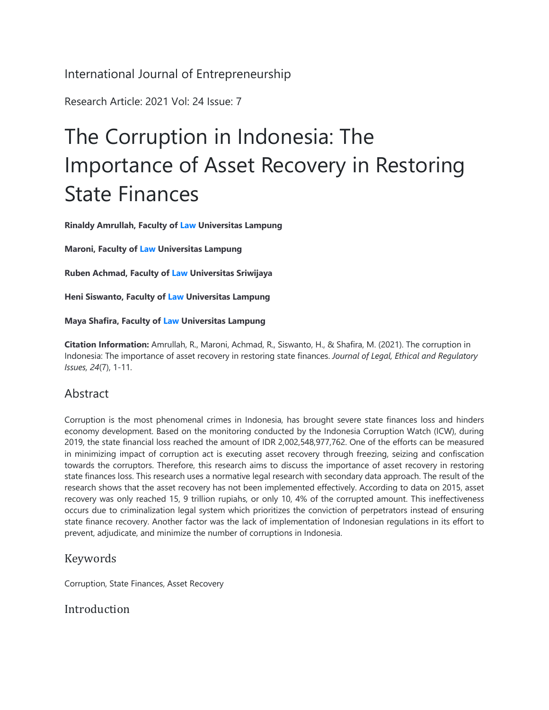International Journal of Entrepreneurship

Research Article: 2021 Vol: 24 Issue: 7

# The Corruption in Indonesia: The Importance of Asset Recovery in Restoring State Finances

**Rinaldy Amrullah, Faculty of Law Universitas Lampung**

**Maroni, Faculty of Law Universitas Lampung**

**Ruben Achmad, Faculty of Law Universitas Sriwijaya**

**Heni Siswanto, Faculty of Law Universitas Lampung**

**Maya Shafira, Faculty of Law Universitas Lampung**

**Citation Information:** Amrullah, R., Maroni, Achmad, R., Siswanto, H., & Shafira, M. (2021). The corruption in Indonesia: The importance of asset recovery in restoring state finances. *Journal of Legal, Ethical and Regulatory Issues, 24*(7), 1-11.

### Abstract

Corruption is the most phenomenal crimes in Indonesia, has brought severe state finances loss and hinders economy development. Based on the monitoring conducted by the Indonesia Corruption Watch (ICW), during 2019, the state financial loss reached the amount of IDR 2,002,548,977,762. One of the efforts can be measured in minimizing impact of corruption act is executing asset recovery through freezing, seizing and confiscation towards the corruptors. Therefore, this research aims to discuss the importance of asset recovery in restoring state finances loss. This research uses a normative legal research with secondary data approach. The result of the research shows that the asset recovery has not been implemented effectively. According to data on 2015, asset recovery was only reached 15, 9 trillion rupiahs, or only 10, 4% of the corrupted amount. This ineffectiveness occurs due to criminalization legal system which prioritizes the conviction of perpetrators instead of ensuring state finance recovery. Another factor was the lack of implementation of Indonesian regulations in its effort to prevent, adjudicate, and minimize the number of corruptions in Indonesia.

### Keywords

Corruption, State Finances, Asset Recovery

#### Introduction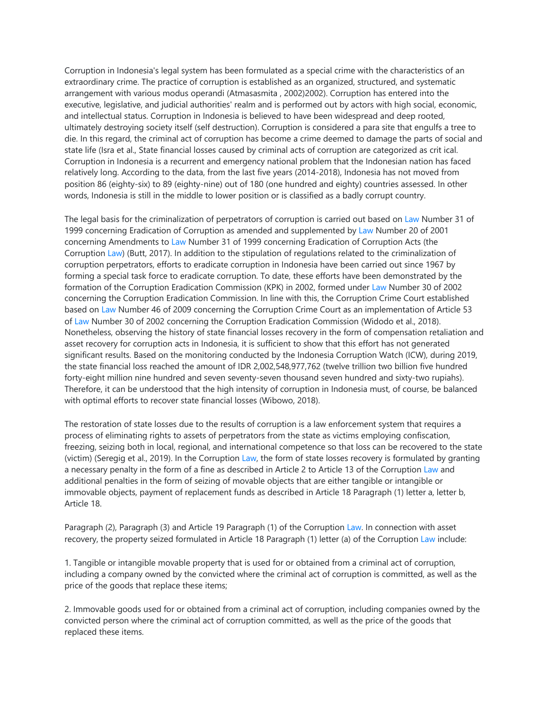Corruption in Indonesia's legal system has been formulated as a special crime with the characteristics of an extraordinary crime. The practice of corruption is established as an organized, structured, and systematic arrangement with various modus operandi (Atmasasmita , 2002)2002). Corruption has entered into the executive, legislative, and judicial authorities' realm and is performed out by actors with high social, economic, and intellectual status. Corruption in Indonesia is believed to have been widespread and deep rooted, ultimately destroying society itself (self destruction). Corruption is considered a para site that engulfs a tree to die. In this regard, the criminal act of corruption has become a crime deemed to damage the parts of social and state life (Isra et al., State financial losses caused by criminal acts of corruption are categorized as crit ical. Corruption in Indonesia is a recurrent and emergency national problem that the Indonesian nation has faced relatively long. According to the data, from the last five years (2014-2018), Indonesia has not moved from position 86 (eighty-six) to 89 (eighty-nine) out of 180 (one hundred and eighty) countries assessed. In other words, Indonesia is still in the middle to lower position or is classified as a badly corrupt country.

The legal basis for the criminalization of perpetrators of corruption is carried out based on Law Number 31 of 1999 concerning Eradication of Corruption as amended and supplemented by Law Number 20 of 2001 concerning Amendments to Law Number 31 of 1999 concerning Eradication of Corruption Acts (the Corruption Law) (Butt, 2017). In addition to the stipulation of regulations related to the criminalization of corruption perpetrators, efforts to eradicate corruption in Indonesia have been carried out since 1967 by forming a special task force to eradicate corruption. To date, these efforts have been demonstrated by the formation of the Corruption Eradication Commission (KPK) in 2002, formed under Law Number 30 of 2002 concerning the Corruption Eradication Commission. In line with this, the Corruption Crime Court established based on Law Number 46 of 2009 concerning the Corruption Crime Court as an implementation of Article 53 of Law Number 30 of 2002 concerning the Corruption Eradication Commission (Widodo et al., 2018). Nonetheless, observing the history of state financial losses recovery in the form of compensation retaliation and asset recovery for corruption acts in Indonesia, it is sufficient to show that this effort has not generated significant results. Based on the monitoring conducted by the Indonesia Corruption Watch (ICW), during 2019, the state financial loss reached the amount of IDR 2,002,548,977,762 (twelve trillion two billion five hundred forty-eight million nine hundred and seven seventy-seven thousand seven hundred and sixty-two rupiahs). Therefore, it can be understood that the high intensity of corruption in Indonesia must, of course, be balanced with optimal efforts to recover state financial losses (Wibowo, 2018).

The restoration of state losses due to the results of corruption is a law enforcement system that requires a process of eliminating rights to assets of perpetrators from the state as victims employing confiscation, freezing, seizing both in local, regional, and international competence so that loss can be recovered to the state (victim) (Seregig et al., 2019). In the Corruption Law, the form of state losses recovery is formulated by granting a necessary penalty in the form of a fine as described in Article 2 to Article 13 of the Corruption Law and additional penalties in the form of seizing of movable objects that are either tangible or intangible or immovable objects, payment of replacement funds as described in Article 18 Paragraph (1) letter a, letter b, Article 18.

Paragraph (2), Paragraph (3) and Article 19 Paragraph (1) of the Corruption Law. In connection with asset recovery, the property seized formulated in Article 18 Paragraph (1) letter (a) of the Corruption Law include:

1. Tangible or intangible movable property that is used for or obtained from a criminal act of corruption, including a company owned by the convicted where the criminal act of corruption is committed, as well as the price of the goods that replace these items;

2. Immovable goods used for or obtained from a criminal act of corruption, including companies owned by the convicted person where the criminal act of corruption committed, as well as the price of the goods that replaced these items.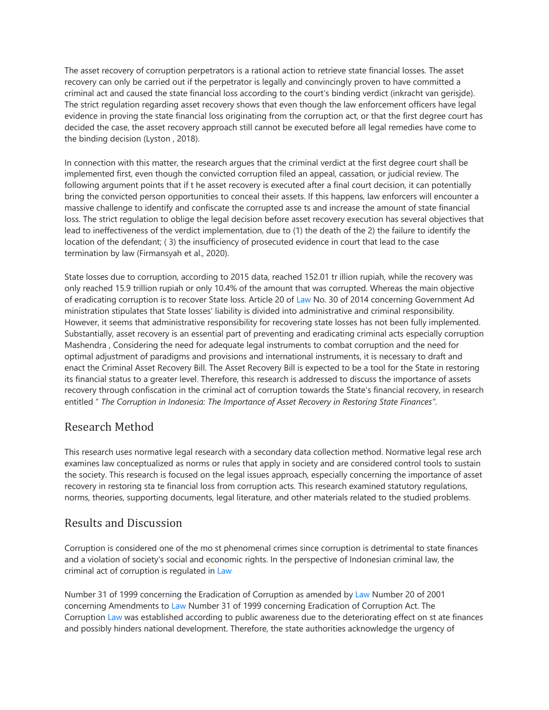The asset recovery of corruption perpetrators is a rational action to retrieve state financial losses. The asset recovery can only be carried out if the perpetrator is legally and convincingly proven to have committed a criminal act and caused the state financial loss according to the court's binding verdict (inkracht van gerisjde). The strict regulation regarding asset recovery shows that even though the law enforcement officers have legal evidence in proving the state financial loss originating from the corruption act, or that the first degree court has decided the case, the asset recovery approach still cannot be executed before all legal remedies have come to the binding decision (Lyston , 2018).

In connection with this matter, the research argues that the criminal verdict at the first degree court shall be implemented first, even though the convicted corruption filed an appeal, cassation, or judicial review. The following argument points that if t he asset recovery is executed after a final court decision, it can potentially bring the convicted person opportunities to conceal their assets. If this happens, law enforcers will encounter a massive challenge to identify and confiscate the corrupted asse ts and increase the amount of state financial loss. The strict regulation to oblige the legal decision before asset recovery execution has several objectives that lead to ineffectiveness of the verdict implementation, due to (1) the death of the 2) the failure to identify the location of the defendant; ( 3) the insufficiency of prosecuted evidence in court that lead to the case termination by law (Firmansyah et al., 2020).

State losses due to corruption, according to 2015 data, reached 152.01 tr illion rupiah, while the recovery was only reached 15.9 trillion rupiah or only 10.4% of the amount that was corrupted. Whereas the main objective of eradicating corruption is to recover State loss. Article 20 of Law No. 30 of 2014 concerning Government Ad ministration stipulates that State losses' liability is divided into administrative and criminal responsibility. However, it seems that administrative responsibility for recovering state losses has not been fully implemented. Substantially, asset recovery is an essential part of preventing and eradicating criminal acts especially corruption Mashendra , Considering the need for adequate legal instruments to combat corruption and the need for optimal adjustment of paradigms and provisions and international instruments, it is necessary to draft and enact the Criminal Asset Recovery Bill. The Asset Recovery Bill is expected to be a tool for the State in restoring its financial status to a greater level. Therefore, this research is addressed to discuss the importance of assets recovery through confiscation in the criminal act of corruption towards the State's financial recovery, in research entitled " *The Corruption in Indonesia: The Importance of Asset Recovery in Restoring State Finances"*.

### Research Method

This research uses normative legal research with a secondary data collection method. Normative legal rese arch examines law conceptualized as norms or rules that apply in society and are considered control tools to sustain the society. This research is focused on the legal issues approach, especially concerning the importance of asset recovery in restoring sta te financial loss from corruption acts. This research examined statutory regulations, norms, theories, supporting documents, legal literature, and other materials related to the studied problems.

### Results and Discussion

Corruption is considered one of the mo st phenomenal crimes since corruption is detrimental to state finances and a violation of society's social and economic rights. In the perspective of Indonesian criminal law, the criminal act of corruption is regulated in Law

Number 31 of 1999 concerning the Eradication of Corruption as amended by Law Number 20 of 2001 concerning Amendments to Law Number 31 of 1999 concerning Eradication of Corruption Act. The Corruption Law was established according to public awareness due to the deteriorating effect on st ate finances and possibly hinders national development. Therefore, the state authorities acknowledge the urgency of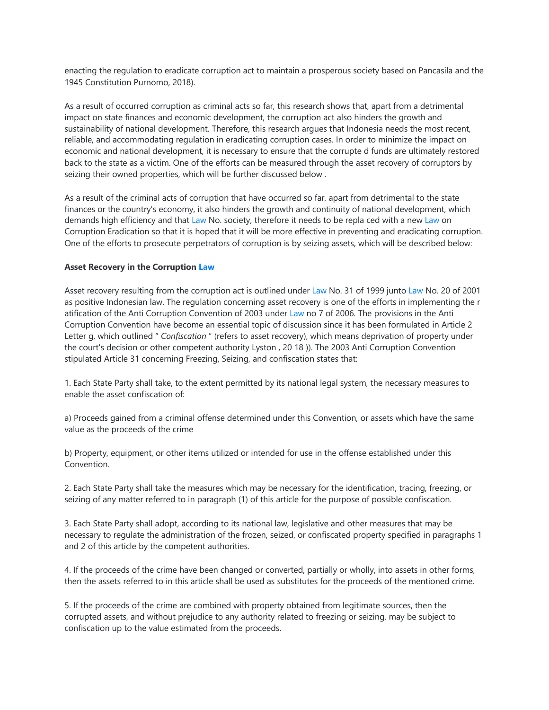enacting the regulation to eradicate corruption act to maintain a prosperous society based on Pancasila and the 1945 Constitution Purnomo, 2018).

As a result of occurred corruption as criminal acts so far, this research shows that, apart from a detrimental impact on state finances and economic development, the corruption act also hinders the growth and sustainability of national development. Therefore, this research argues that Indonesia needs the most recent, reliable, and accommodating regulation in eradicating corruption cases. In order to minimize the impact on economic and national development, it is necessary to ensure that the corrupte d funds are ultimately restored back to the state as a victim. One of the efforts can be measured through the asset recovery of corruptors by seizing their owned properties, which will be further discussed below .

As a result of the criminal acts of corruption that have occurred so far, apart from detrimental to the state finances or the country's economy, it also hinders the growth and continuity of national development, which demands high efficiency and that Law No. society, therefore it needs to be repla ced with a new Law on Corruption Eradication so that it is hoped that it will be more effective in preventing and eradicating corruption. One of the efforts to prosecute perpetrators of corruption is by seizing assets, which will be described below:

#### **Asset Recovery in the Corruption Law**

Asset recovery resulting from the corruption act is outlined under Law No. 31 of 1999 junto Law No. 20 of 2001 as positive Indonesian law. The regulation concerning asset recovery is one of the efforts in implementing the r atification of the Anti Corruption Convention of 2003 under Law no 7 of 2006. The provisions in the Anti Corruption Convention have become an essential topic of discussion since it has been formulated in Article 2 Letter g, which outlined " *Confiscation* " (refers to asset recovery), which means deprivation of property under the court's decision or other competent authority Lyston , 20 18 )). The 2003 Anti Corruption Convention stipulated Article 31 concerning Freezing, Seizing, and confiscation states that:

1. Each State Party shall take, to the extent permitted by its national legal system, the necessary measures to enable the asset confiscation of:

a) Proceeds gained from a criminal offense determined under this Convention, or assets which have the same value as the proceeds of the crime

b) Property, equipment, or other items utilized or intended for use in the offense established under this Convention.

2. Each State Party shall take the measures which may be necessary for the identification, tracing, freezing, or seizing of any matter referred to in paragraph (1) of this article for the purpose of possible confiscation.

3. Each State Party shall adopt, according to its national law, legislative and other measures that may be necessary to regulate the administration of the frozen, seized, or confiscated property specified in paragraphs 1 and 2 of this article by the competent authorities.

4. If the proceeds of the crime have been changed or converted, partially or wholly, into assets in other forms, then the assets referred to in this article shall be used as substitutes for the proceeds of the mentioned crime.

5. If the proceeds of the crime are combined with property obtained from legitimate sources, then the corrupted assets, and without prejudice to any authority related to freezing or seizing, may be subject to confiscation up to the value estimated from the proceeds.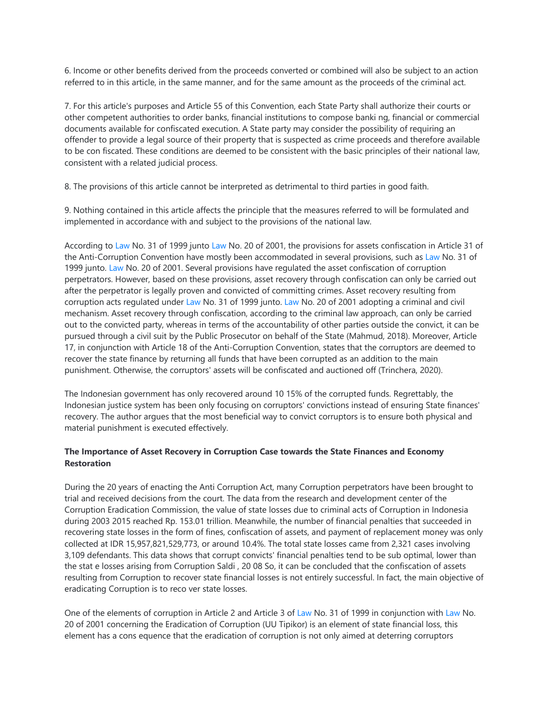6. Income or other benefits derived from the proceeds converted or combined will also be subject to an action referred to in this article, in the same manner, and for the same amount as the proceeds of the criminal act.

7. For this article's purposes and Article 55 of this Convention, each State Party shall authorize their courts or other competent authorities to order banks, financial institutions to compose banki ng, financial or commercial documents available for confiscated execution. A State party may consider the possibility of requiring an offender to provide a legal source of their property that is suspected as crime proceeds and therefore available to be con fiscated. These conditions are deemed to be consistent with the basic principles of their national law, consistent with a related judicial process.

8. The provisions of this article cannot be interpreted as detrimental to third parties in good faith.

9. Nothing contained in this article affects the principle that the measures referred to will be formulated and implemented in accordance with and subject to the provisions of the national law.

According to Law No. 31 of 1999 junto Law No. 20 of 2001, the provisions for assets confiscation in Article 31 of the Anti-Corruption Convention have mostly been accommodated in several provisions, such as Law No. 31 of 1999 junto. Law No. 20 of 2001. Several provisions have regulated the asset confiscation of corruption perpetrators. However, based on these provisions, asset recovery through confiscation can only be carried out after the perpetrator is legally proven and convicted of committing crimes. Asset recovery resulting from corruption acts regulated under Law No. 31 of 1999 junto. Law No. 20 of 2001 adopting a criminal and civil mechanism. Asset recovery through confiscation, according to the criminal law approach, can only be carried out to the convicted party, whereas in terms of the accountability of other parties outside the convict, it can be pursued through a civil suit by the Public Prosecutor on behalf of the State (Mahmud, 2018). Moreover, Article 17, in conjunction with Article 18 of the Anti-Corruption Convention, states that the corruptors are deemed to recover the state finance by returning all funds that have been corrupted as an addition to the main punishment. Otherwise, the corruptors' assets will be confiscated and auctioned off (Trinchera, 2020).

The Indonesian government has only recovered around 10 15% of the corrupted funds. Regrettably, the Indonesian justice system has been only focusing on corruptors' convictions instead of ensuring State finances' recovery. The author argues that the most beneficial way to convict corruptors is to ensure both physical and material punishment is executed effectively.

#### **The Importance of Asset Recovery in Corruption Case towards the State Finances and Economy Restoration**

During the 20 years of enacting the Anti Corruption Act, many Corruption perpetrators have been brought to trial and received decisions from the court. The data from the research and development center of the Corruption Eradication Commission, the value of state losses due to criminal acts of Corruption in Indonesia during 2003 2015 reached Rp. 153.01 trillion. Meanwhile, the number of financial penalties that succeeded in recovering state losses in the form of fines, confiscation of assets, and payment of replacement money was only collected at IDR 15,957,821,529,773, or around 10.4%. The total state losses came from 2,321 cases involving 3,109 defendants. This data shows that corrupt convicts' financial penalties tend to be sub optimal, lower than the stat e losses arising from Corruption Saldi , 20 08 So, it can be concluded that the confiscation of assets resulting from Corruption to recover state financial losses is not entirely successful. In fact, the main objective of eradicating Corruption is to reco ver state losses.

One of the elements of corruption in Article 2 and Article 3 of Law No. 31 of 1999 in conjunction with Law No. 20 of 2001 concerning the Eradication of Corruption (UU Tipikor) is an element of state financial loss, this element has a cons equence that the eradication of corruption is not only aimed at deterring corruptors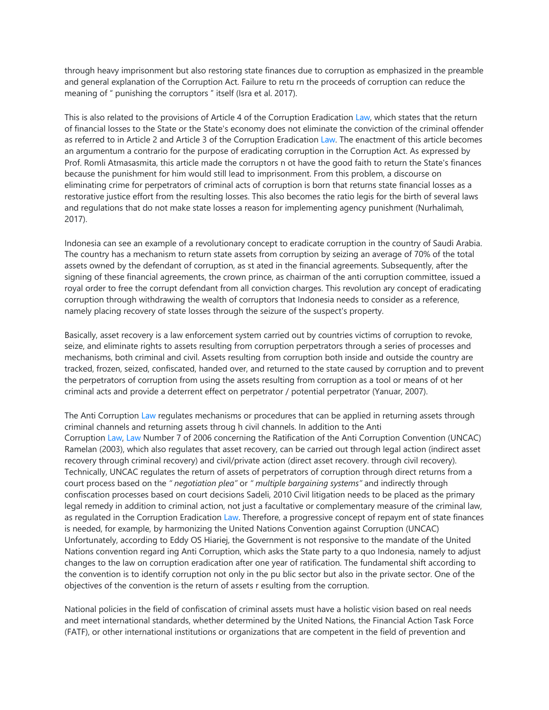through heavy imprisonment but also restoring state finances due to corruption as emphasized in the preamble and general explanation of the Corruption Act. Failure to retu rn the proceeds of corruption can reduce the meaning of " punishing the corruptors " itself (Isra et al. 2017).

This is also related to the provisions of Article 4 of the Corruption Eradication Law, which states that the return of financial losses to the State or the State's economy does not eliminate the conviction of the criminal offender as referred to in Article 2 and Article 3 of the Corruption Eradication Law. The enactment of this article becomes an argumentum a contrario for the purpose of eradicating corruption in the Corruption Act. As expressed by Prof. Romli Atmasasmita, this article made the corruptors n ot have the good faith to return the State's finances because the punishment for him would still lead to imprisonment. From this problem, a discourse on eliminating crime for perpetrators of criminal acts of corruption is born that returns state financial losses as a restorative justice effort from the resulting losses. This also becomes the ratio legis for the birth of several laws and regulations that do not make state losses a reason for implementing agency punishment (Nurhalimah, 2017).

Indonesia can see an example of a revolutionary concept to eradicate corruption in the country of Saudi Arabia. The country has a mechanism to return state assets from corruption by seizing an average of 70% of the total assets owned by the defendant of corruption, as st ated in the financial agreements. Subsequently, after the signing of these financial agreements, the crown prince, as chairman of the anti corruption committee, issued a royal order to free the corrupt defendant from all conviction charges. This revolution ary concept of eradicating corruption through withdrawing the wealth of corruptors that Indonesia needs to consider as a reference, namely placing recovery of state losses through the seizure of the suspect's property.

Basically, asset recovery is a law enforcement system carried out by countries victims of corruption to revoke, seize, and eliminate rights to assets resulting from corruption perpetrators through a series of processes and mechanisms, both criminal and civil. Assets resulting from corruption both inside and outside the country are tracked, frozen, seized, confiscated, handed over, and returned to the state caused by corruption and to prevent the perpetrators of corruption from using the assets resulting from corruption as a tool or means of ot her criminal acts and provide a deterrent effect on perpetrator / potential perpetrator (Yanuar, 2007).

The Anti Corruption Law regulates mechanisms or procedures that can be applied in returning assets through criminal channels and returning assets throug h civil channels. In addition to the Anti Corruption Law, Law Number 7 of 2006 concerning the Ratification of the Anti Corruption Convention (UNCAC) Ramelan (2003), which also regulates that asset recovery, can be carried out through legal action (indirect asset recovery through criminal recovery) and civil/private action (direct asset recovery. through civil recovery). Technically, UNCAC regulates the return of assets of perpetrators of corruption through direct returns from a court process based on the *" negotiation plea"* or *" multiple bargaining systems"* and indirectly through confiscation processes based on court decisions Sadeli, 2010 Civil litigation needs to be placed as the primary legal remedy in addition to criminal action, not just a facultative or complementary measure of the criminal law, as regulated in the Corruption Eradication Law. Therefore, a progressive concept of repaym ent of state finances is needed, for example, by harmonizing the United Nations Convention against Corruption (UNCAC) Unfortunately, according to Eddy OS Hiariej, the Government is not responsive to the mandate of the United Nations convention regard ing Anti Corruption, which asks the State party to a quo Indonesia, namely to adjust changes to the law on corruption eradication after one year of ratification. The fundamental shift according to the convention is to identify corruption not only in the pu blic sector but also in the private sector. One of the objectives of the convention is the return of assets r esulting from the corruption.

National policies in the field of confiscation of criminal assets must have a holistic vision based on real needs and meet international standards, whether determined by the United Nations, the Financial Action Task Force (FATF), or other international institutions or organizations that are competent in the field of prevention and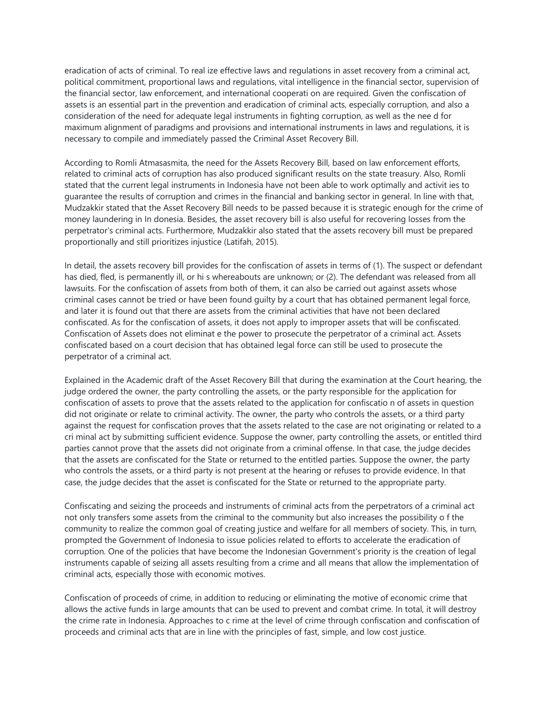eradication of acts of criminal. To real ize effective laws and regulations in asset recovery from a criminal act, political commitment, proportional laws and regulations, vital intelligence in the financial sector, supervision of the financial sector, law enforcement, and international cooperati on are required. Given the confiscation of assets is an essential part in the prevention and eradication of criminal acts, especially corruption, and also a consideration of the need for adequate legal instruments in fighting corruption, as well as the nee d for maximum alignment of paradigms and provisions and international instruments in laws and regulations, it is necessary to compile and immediately passed the Criminal Asset Recovery Bill.

According to Romli Atmasasmita, the need for the Assets Recovery Bill, based on law enforcement efforts, related to criminal acts of corruption has also produced significant results on the state treasury. Also, Romli stated that the current legal instruments in Indonesia have not been able to work optimally and activit ies to guarantee the results of corruption and crimes in the financial and banking sector in general. In line with that, Mudzakkir stated that the Asset Recovery Bill needs to be passed because it is strategic enough for the crime of money laundering in In donesia. Besides, the asset recovery bill is also useful for recovering losses from the perpetrator's criminal acts. Furthermore, Mudzakkir also stated that the assets recovery bill must be prepared proportionally and still prioritizes injustice (Latifah, 2015).

In detail, the assets recovery bill provides for the confiscation of assets in terms of (1). The suspect or defendant has died, fled, is permanently ill, or hi s whereabouts are unknown; or (2). The defendant was released from all lawsuits. For the confiscation of assets from both of them, it can also be carried out against assets whose criminal cases cannot be tried or have been found guilty by a court that has obtained permanent legal force, and later it is found out that there are assets from the criminal activities that have not been declared confiscated. As for the confiscation of assets, it does not apply to improper assets that will be confiscated. Confiscation of Assets does not eliminat e the power to prosecute the perpetrator of a criminal act. Assets confiscated based on a court decision that has obtained legal force can still be used to prosecute the perpetrator of a criminal act.

Explained in the Academic draft of the Asset Recovery Bill that during the examination at the Court hearing, the judge ordered the owner, the party controlling the assets, or the party responsible for the application for confiscation of assets to prove that the assets related to the application for confiscatio n of assets in question did not originate or relate to criminal activity. The owner, the party who controls the assets, or a third party against the request for confiscation proves that the assets related to the case are not originating or related to a cri minal act by submitting sufficient evidence. Suppose the owner, party controlling the assets, or entitled third parties cannot prove that the assets did not originate from a criminal offense. In that case, the judge decides that the assets are confiscated for the State or returned to the entitled parties. Suppose the owner, the party who controls the assets, or a third party is not present at the hearing or refuses to provide evidence. In that case, the judge decides that the asset is confiscated for the State or returned to the appropriate party.

Confiscating and seizing the proceeds and instruments of criminal acts from the perpetrators of a criminal act not only transfers some assets from the criminal to the community but also increases the possibility o f the community to realize the common goal of creating justice and welfare for all members of society. This, in turn, prompted the Government of Indonesia to issue policies related to efforts to accelerate the eradication of corruption. One of the policies that have become the Indonesian Government's priority is the creation of legal instruments capable of seizing all assets resulting from a crime and all means that allow the implementation of criminal acts, especially those with economic motives.

Confiscation of proceeds of crime, in addition to reducing or eliminating the motive of economic crime that allows the active funds in large amounts that can be used to prevent and combat crime. In total, it will destroy the crime rate in Indonesia. Approaches to c rime at the level of crime through confiscation and confiscation of proceeds and criminal acts that are in line with the principles of fast, simple, and low cost justice.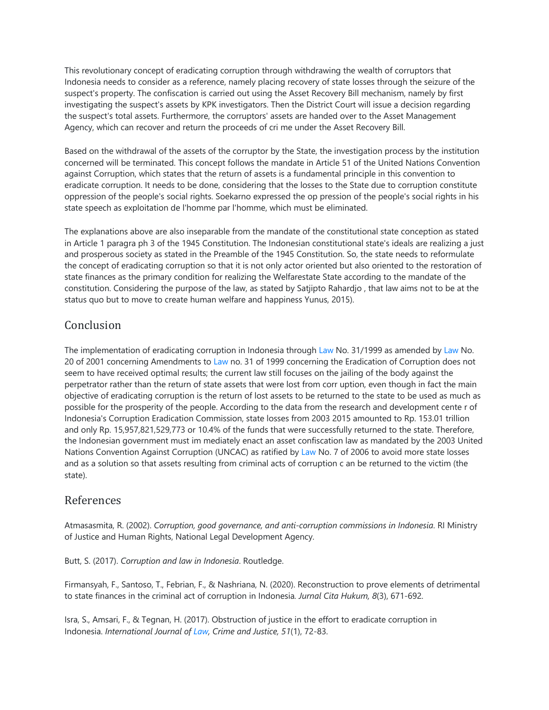This revolutionary concept of eradicating corruption through withdrawing the wealth of corruptors that Indonesia needs to consider as a reference, namely placing recovery of state losses through the seizure of the suspect's property. The confiscation is carried out using the Asset Recovery Bill mechanism, namely by first investigating the suspect's assets by KPK investigators. Then the District Court will issue a decision regarding the suspect's total assets. Furthermore, the corruptors' assets are handed over to the Asset Management Agency, which can recover and return the proceeds of cri me under the Asset Recovery Bill.

Based on the withdrawal of the assets of the corruptor by the State, the investigation process by the institution concerned will be terminated. This concept follows the mandate in Article 51 of the United Nations Convention against Corruption, which states that the return of assets is a fundamental principle in this convention to eradicate corruption. It needs to be done, considering that the losses to the State due to corruption constitute oppression of the people's social rights. Soekarno expressed the op pression of the people's social rights in his state speech as exploitation de l'homme par l'homme, which must be eliminated.

The explanations above are also inseparable from the mandate of the constitutional state conception as stated in Article 1 paragra ph 3 of the 1945 Constitution. The Indonesian constitutional state's ideals are realizing a just and prosperous society as stated in the Preamble of the 1945 Constitution. So, the state needs to reformulate the concept of eradicating corruption so that it is not only actor oriented but also oriented to the restoration of state finances as the primary condition for realizing the Welfarestate State according to the mandate of the constitution. Considering the purpose of the law, as stated by Satjipto Rahardjo , that law aims not to be at the status quo but to move to create human welfare and happiness Yunus, 2015).

## **Conclusion**

The implementation of eradicating corruption in Indonesia through Law No. 31/1999 as amended by Law No. 20 of 2001 concerning Amendments to Law no. 31 of 1999 concerning the Eradication of Corruption does not seem to have received optimal results; the current law still focuses on the jailing of the body against the perpetrator rather than the return of state assets that were lost from corr uption, even though in fact the main objective of eradicating corruption is the return of lost assets to be returned to the state to be used as much as possible for the prosperity of the people. According to the data from the research and development cente r of Indonesia's Corruption Eradication Commission, state losses from 2003 2015 amounted to Rp. 153.01 trillion and only Rp. 15,957,821,529,773 or 10.4% of the funds that were successfully returned to the state. Therefore, the Indonesian government must im mediately enact an asset confiscation law as mandated by the 2003 United Nations Convention Against Corruption (UNCAC) as ratified by Law No. 7 of 2006 to avoid more state losses and as a solution so that assets resulting from criminal acts of corruption c an be returned to the victim (the state).

#### References

Atmasasmita, R. (2002). *Corruption, good governance, and anti-corruption commissions in Indonesia*. RI Ministry of Justice and Human Rights, National Legal Development Agency.

Butt, S. (2017). *Corruption and law in Indonesia*. Routledge.

Firmansyah, F., Santoso, T., Febrian, F., & Nashriana, N. (2020). Reconstruction to prove elements of detrimental to state finances in the criminal act of corruption in Indonesia*. Jurnal Cita Hukum, 8*(3), 671-692.

Isra, S., Amsari, F., & Tegnan, H. (2017). Obstruction of justice in the effort to eradicate corruption in Indonesia. *International Journal of Law, Crime and Justice, 51*(1), 72-83.